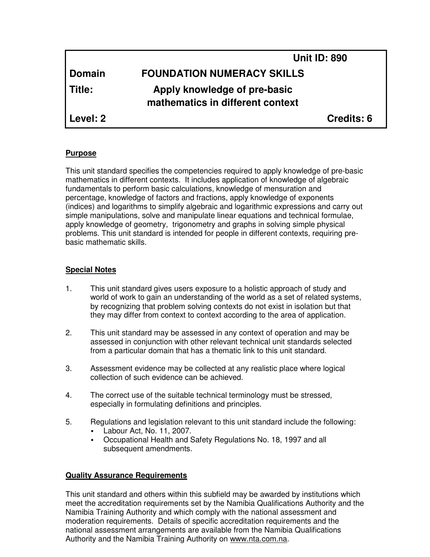|               | <b>Unit ID: 890</b>                                              |
|---------------|------------------------------------------------------------------|
| <b>Domain</b> | <b>FOUNDATION NUMERACY SKILLS</b>                                |
| Title:        | Apply knowledge of pre-basic<br>mathematics in different context |
| Level: 2      | Credits: 6                                                       |

### **Purpose**

This unit standard specifies the competencies required to apply knowledge of pre-basic mathematics in different contexts. It includes application of knowledge of algebraic fundamentals to perform basic calculations, knowledge of mensuration and percentage, knowledge of factors and fractions, apply knowledge of exponents (indices) and logarithms to simplify algebraic and logarithmic expressions and carry out simple manipulations, solve and manipulate linear equations and technical formulae, apply knowledge of geometry, trigonometry and graphs in solving simple physical problems. This unit standard is intended for people in different contexts, requiring prebasic mathematic skills.

### **Special Notes**

- 1. This unit standard gives users exposure to a holistic approach of study and world of work to gain an understanding of the world as a set of related systems, by recognizing that problem solving contexts do not exist in isolation but that they may differ from context to context according to the area of application.
- 2. This unit standard may be assessed in any context of operation and may be assessed in conjunction with other relevant technical unit standards selected from a particular domain that has a thematic link to this unit standard.
- 3. Assessment evidence may be collected at any realistic place where logical collection of such evidence can be achieved.
- 4. The correct use of the suitable technical terminology must be stressed, especially in formulating definitions and principles.
- 5. Regulations and legislation relevant to this unit standard include the following:
	- Labour Act, No. 11, 2007.
	- Occupational Health and Safety Regulations No. 18, 1997 and all subsequent amendments.

### **Quality Assurance Requirements**

This unit standard and others within this subfield may be awarded by institutions which meet the accreditation requirements set by the Namibia Qualifications Authority and the Namibia Training Authority and which comply with the national assessment and moderation requirements. Details of specific accreditation requirements and the national assessment arrangements are available from the Namibia Qualifications Authority and the Namibia Training Authority on www.nta.com.na.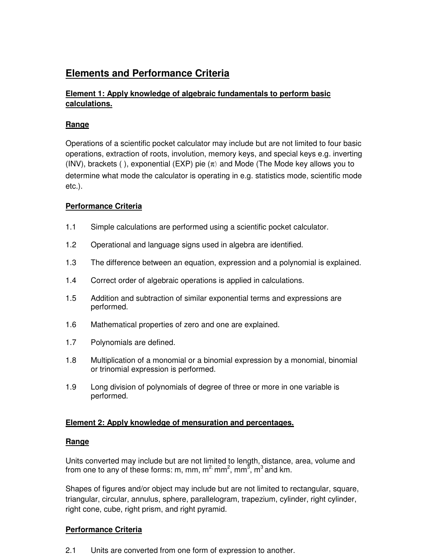# **Elements and Performance Criteria**

### **Element 1: Apply knowledge of algebraic fundamentals to perform basic calculations.**

### **Range**

Operations of a scientific pocket calculator may include but are not limited to four basic operations, extraction of roots, involution, memory keys, and special keys e.g. inverting (INV), brackets ( ), exponential (EXP) pie  $(\pi)$  and Mode (The Mode key allows you to determine what mode the calculator is operating in e.g. statistics mode, scientific mode etc.).

## **Performance Criteria**

- 1.1 Simple calculations are performed using a scientific pocket calculator.
- 1.2 Operational and language signs used in algebra are identified.
- 1.3 The difference between an equation, expression and a polynomial is explained.
- 1.4 Correct order of algebraic operations is applied in calculations.
- 1.5 Addition and subtraction of similar exponential terms and expressions are performed.
- 1.6 Mathematical properties of zero and one are explained.
- 1.7 Polynomials are defined.
- 1.8 Multiplication of a monomial or a binomial expression by a monomial, binomial or trinomial expression is performed.
- 1.9 Long division of polynomials of degree of three or more in one variable is performed.

### **Element 2: Apply knowledge of mensuration and percentages.**

### **Range**

Units converted may include but are not limited to length, distance, area, volume and from one to any of these forms: m, mm, m<sup>2,</sup> mm<sup>2</sup>, mm<sup>3</sup>, m<sup>3</sup> and km.

Shapes of figures and/or object may include but are not limited to rectangular, square, triangular, circular, annulus, sphere, parallelogram, trapezium, cylinder, right cylinder, right cone, cube, right prism, and right pyramid.

### **Performance Criteria**

2.1 Units are converted from one form of expression to another.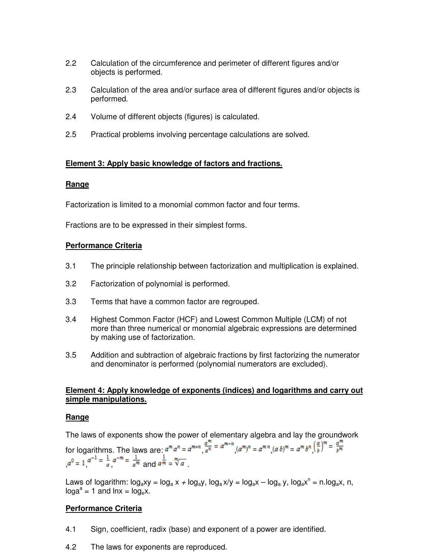- 2.2 Calculation of the circumference and perimeter of different figures and/or objects is performed.
- 2.3 Calculation of the area and/or surface area of different figures and/or objects is performed.
- 2.4 Volume of different objects (figures) is calculated.
- 2.5 Practical problems involving percentage calculations are solved.

### **Element 3: Apply basic knowledge of factors and fractions.**

### **Range**

Factorization is limited to a monomial common factor and four terms.

Fractions are to be expressed in their simplest forms.

### **Performance Criteria**

- 3.1 The principle relationship between factorization and multiplication is explained.
- 3.2 Factorization of polynomial is performed.
- 3.3 Terms that have a common factor are regrouped.
- 3.4 Highest Common Factor (HCF) and Lowest Common Multiple (LCM) of not more than three numerical or monomial algebraic expressions are determined by making use of factorization.
- 3.5 Addition and subtraction of algebraic fractions by first factorizing the numerator and denominator is performed (polynomial numerators are excluded).

### **Element 4: Apply knowledge of exponents (indices) and logarithms and carry out simple manipulations.**

### **Range**

The laws of exponents show the power of elementary algebra and lay the groundwork for logarithms. The laws are:  $a^m a^n = a^{m+n} \frac{a^m}{a^n} = a^{m-n} (a^m)^n = a^{mn} (a b)^m = a^m b^n \left(\frac{a}{b}\right)^m = \frac{a^m}{b^m}$  $a^0 = 1$   $a^{-1} = \frac{1}{a}$   $a^{-m} = \frac{1}{a^m}$  and  $a^{\frac{1}{m}} = \sqrt[m]{a}$ 

Laws of logarithm:  $log_a xy = log_a x + log_a y$ ,  $log_a x/y = log_a x - log_a y$ ,  $log_a x^n = n.log_a x$ , n,  $log a^a = 1$  and  $ln x = log_e x$ .

### **Performance Criteria**

- 4.1 Sign, coefficient, radix (base) and exponent of a power are identified.
- 4.2 The laws for exponents are reproduced.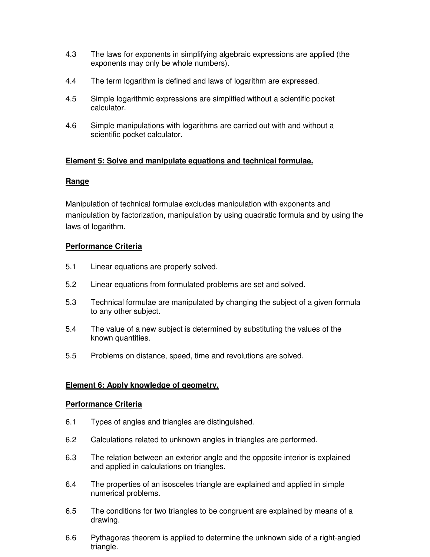- 4.3 The laws for exponents in simplifying algebraic expressions are applied (the exponents may only be whole numbers).
- 4.4 The term logarithm is defined and laws of logarithm are expressed.
- 4.5 Simple logarithmic expressions are simplified without a scientific pocket calculator.
- 4.6 Simple manipulations with logarithms are carried out with and without a scientific pocket calculator.

### **Element 5: Solve and manipulate equations and technical formulae.**

#### **Range**

Manipulation of technical formulae excludes manipulation with exponents and manipulation by factorization, manipulation by using quadratic formula and by using the laws of logarithm.

### **Performance Criteria**

- 5.1 Linear equations are properly solved.
- 5.2 Linear equations from formulated problems are set and solved.
- 5.3 Technical formulae are manipulated by changing the subject of a given formula to any other subject.
- 5.4 The value of a new subject is determined by substituting the values of the known quantities.
- 5.5 Problems on distance, speed, time and revolutions are solved.

### **Element 6: Apply knowledge of geometry.**

#### **Performance Criteria**

- 6.1 Types of angles and triangles are distinguished.
- 6.2 Calculations related to unknown angles in triangles are performed.
- 6.3 The relation between an exterior angle and the opposite interior is explained and applied in calculations on triangles.
- 6.4 The properties of an isosceles triangle are explained and applied in simple numerical problems.
- 6.5 The conditions for two triangles to be congruent are explained by means of a drawing.
- 6.6 Pythagoras theorem is applied to determine the unknown side of a right-angled triangle.